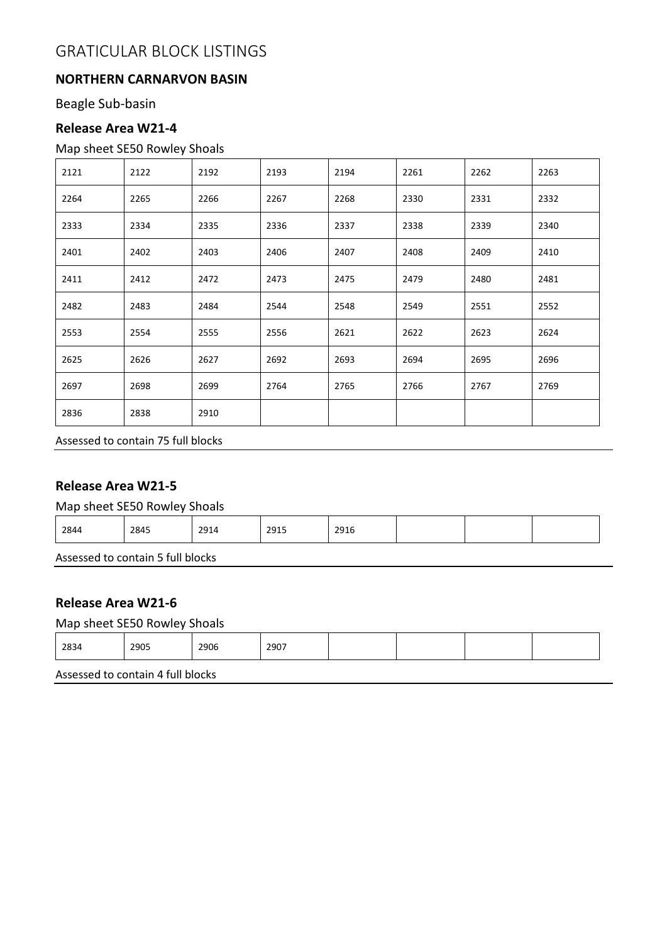## **NORTHERN CARNARVON BASIN**

Beagle Sub-basin

## **Release Area W21-4**

## Map sheet SE50 Rowley Shoals

| 2121 | 2122 | 2192 | 2193 | 2194 | 2261 | 2262 | 2263 |
|------|------|------|------|------|------|------|------|
| 2264 | 2265 | 2266 | 2267 | 2268 | 2330 | 2331 | 2332 |
| 2333 | 2334 | 2335 | 2336 | 2337 | 2338 | 2339 | 2340 |
| 2401 | 2402 | 2403 | 2406 | 2407 | 2408 | 2409 | 2410 |
| 2411 | 2412 | 2472 | 2473 | 2475 | 2479 | 2480 | 2481 |
| 2482 | 2483 | 2484 | 2544 | 2548 | 2549 | 2551 | 2552 |
| 2553 | 2554 | 2555 | 2556 | 2621 | 2622 | 2623 | 2624 |
| 2625 | 2626 | 2627 | 2692 | 2693 | 2694 | 2695 | 2696 |
| 2697 | 2698 | 2699 | 2764 | 2765 | 2766 | 2767 | 2769 |
| 2836 | 2838 | 2910 |      |      |      |      |      |

Assessed to contain 75 full blocks

## **Release Area W21-5**

Map sheet SE50 Rowley Shoals

| 2845<br>2015<br>2844<br>2916<br>2914<br>ر 152 |
|-----------------------------------------------|
|-----------------------------------------------|

Assessed to contain 5 full blocks

## **Release Area W21-6**

## Map sheet SE50 Rowley Shoals

|  | 2834 | 2905 | 2906 | 2907 |  |  |  |  |
|--|------|------|------|------|--|--|--|--|
|--|------|------|------|------|--|--|--|--|

Assessed to contain 4 full blocks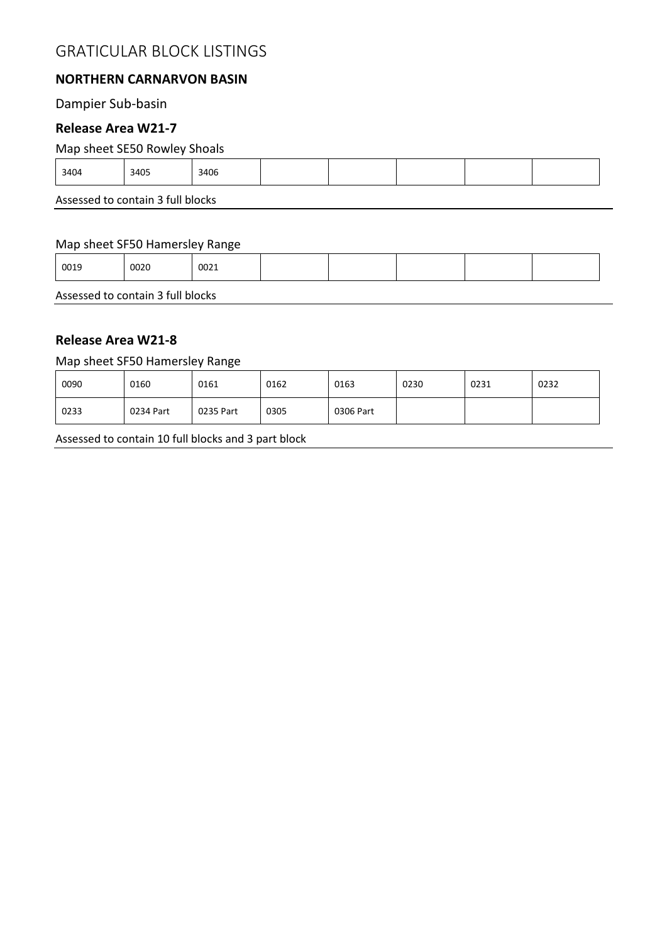## **NORTHERN CARNARVON BASIN**

## Dampier Sub-basin

## **Release Area W21-7**

#### Map sheet SE50 Rowley Shoals

| 3406<br>3405<br>3404 |  |
|----------------------|--|

Assessed to contain 3 full blocks

#### Map sheet SF50 Hamersley Range

| 0019<br>0020<br>0021 |
|----------------------|

Assessed to contain 3 full blocks

### **Release Area W21-8**

#### Map sheet SF50 Hamersley Range

| 0090 | 0160      | 0161      | 0162 | 0163      | 0230 | 0231 | 0232 |
|------|-----------|-----------|------|-----------|------|------|------|
| 0233 | 0234 Part | 0235 Part | 0305 | 0306 Part |      |      |      |

Assessed to contain 10 full blocks and 3 part block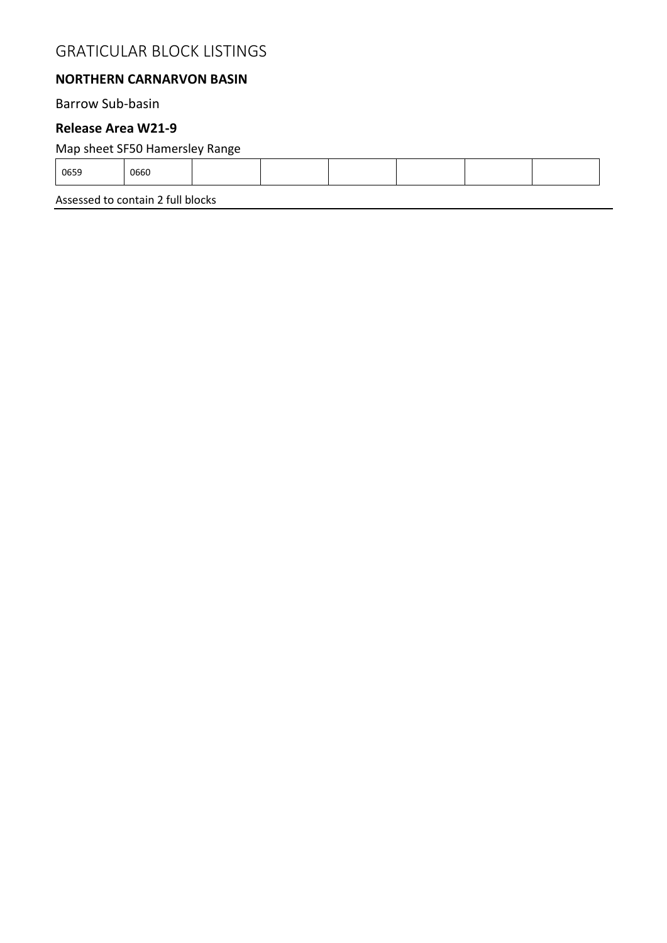## **NORTHERN CARNARVON BASIN**

Barrow Sub-basin

#### **Release Area W21-9**

## Map sheet SF50 Hamersley Range

| 0660<br>0659 |
|--------------|
|--------------|

Assessed to contain 2 full blocks